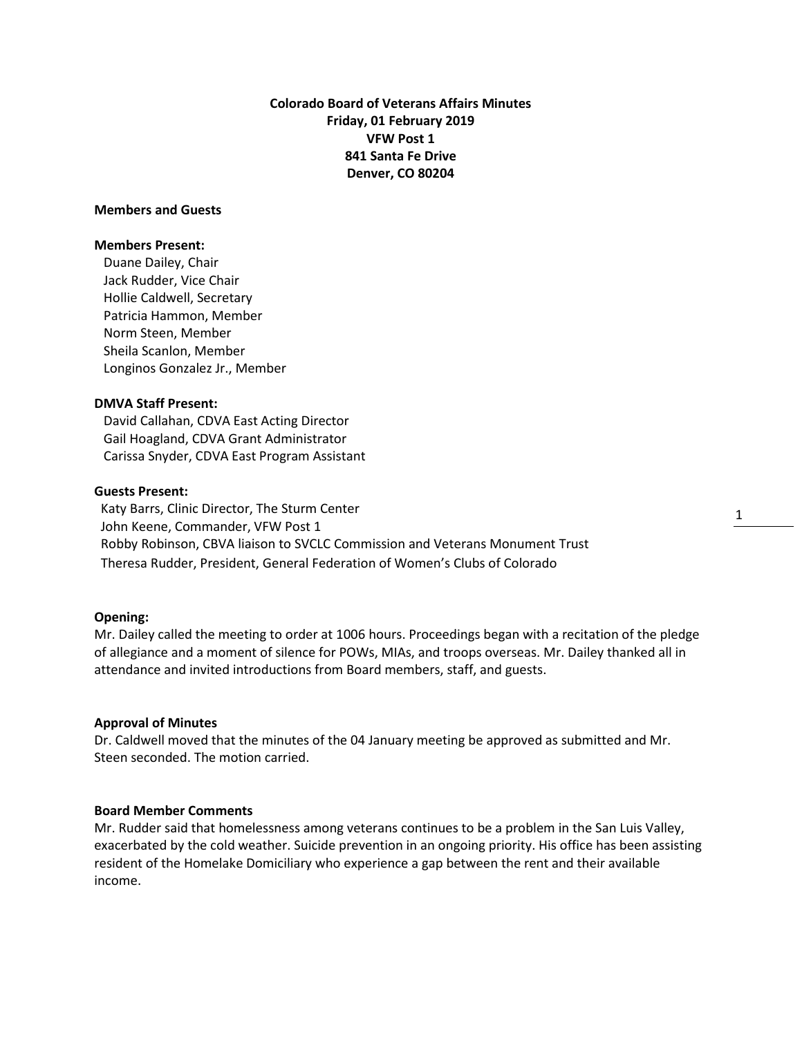**Colorado Board of Veterans Affairs Minutes Friday, 01 February 2019 VFW Post 1 841 Santa Fe Drive Denver, CO 80204**

## **Members and Guests**

## **Members Present:**

Duane Dailey, Chair Jack Rudder, Vice Chair Hollie Caldwell, Secretary Patricia Hammon, Member Norm Steen, Member Sheila Scanlon, Member Longinos Gonzalez Jr., Member

# **DMVA Staff Present:**

David Callahan, CDVA East Acting Director Gail Hoagland, CDVA Grant Administrator Carissa Snyder, CDVA East Program Assistant

## **Guests Present:**

 Katy Barrs, Clinic Director, The Sturm Center John Keene, Commander, VFW Post 1 Robby Robinson, CBVA liaison to SVCLC Commission and Veterans Monument Trust Theresa Rudder, President, General Federation of Women's Clubs of Colorado

### **Opening:**

Mr. Dailey called the meeting to order at 1006 hours. Proceedings began with a recitation of the pledge of allegiance and a moment of silence for POWs, MIAs, and troops overseas. Mr. Dailey thanked all in attendance and invited introductions from Board members, staff, and guests.

### **Approval of Minutes**

Dr. Caldwell moved that the minutes of the 04 January meeting be approved as submitted and Mr. Steen seconded. The motion carried.

# **Board Member Comments**

Mr. Rudder said that homelessness among veterans continues to be a problem in the San Luis Valley, exacerbated by the cold weather. Suicide prevention in an ongoing priority. His office has been assisting resident of the Homelake Domiciliary who experience a gap between the rent and their available income.

1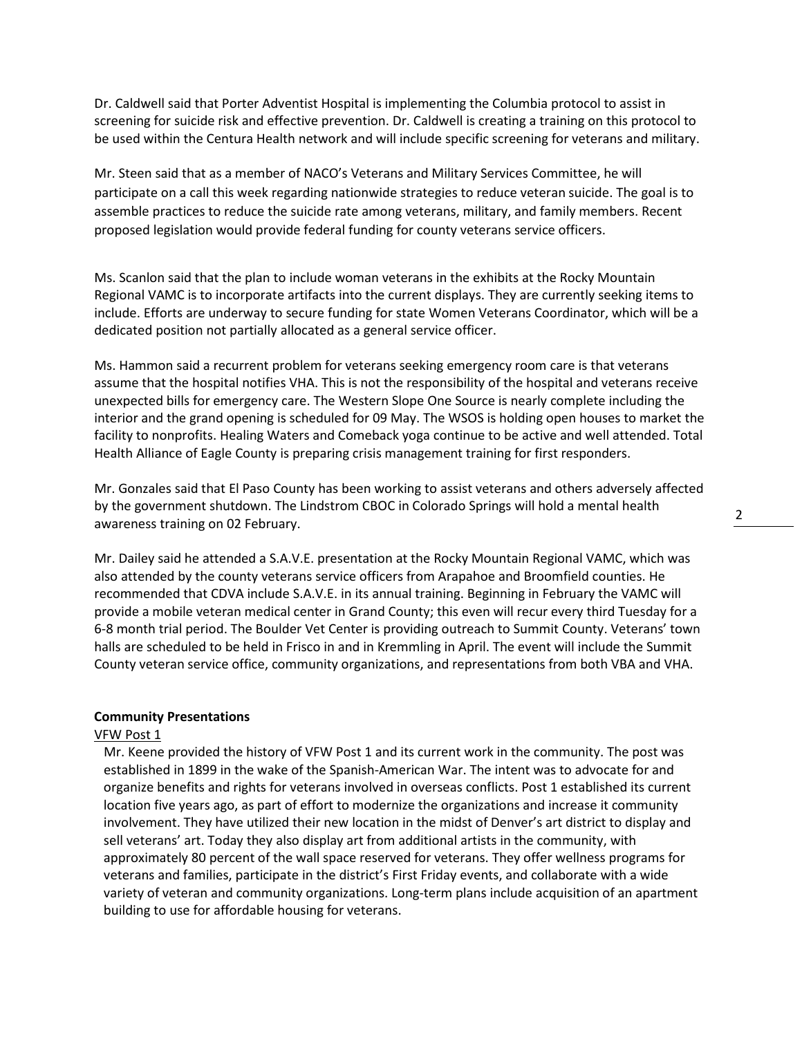Dr. Caldwell said that Porter Adventist Hospital is implementing the Columbia protocol to assist in screening for suicide risk and effective prevention. Dr. Caldwell is creating a training on this protocol to be used within the Centura Health network and will include specific screening for veterans and military.

Mr. Steen said that as a member of NACO's Veterans and Military Services Committee, he will participate on a call this week regarding nationwide strategies to reduce veteran suicide. The goal is to assemble practices to reduce the suicide rate among veterans, military, and family members. Recent proposed legislation would provide federal funding for county veterans service officers.

Ms. Scanlon said that the plan to include woman veterans in the exhibits at the Rocky Mountain Regional VAMC is to incorporate artifacts into the current displays. They are currently seeking items to include. Efforts are underway to secure funding for state Women Veterans Coordinator, which will be a dedicated position not partially allocated as a general service officer.

Ms. Hammon said a recurrent problem for veterans seeking emergency room care is that veterans assume that the hospital notifies VHA. This is not the responsibility of the hospital and veterans receive unexpected bills for emergency care. The Western Slope One Source is nearly complete including the interior and the grand opening is scheduled for 09 May. The WSOS is holding open houses to market the facility to nonprofits. Healing Waters and Comeback yoga continue to be active and well attended. Total Health Alliance of Eagle County is preparing crisis management training for first responders.

Mr. Gonzales said that El Paso County has been working to assist veterans and others adversely affected by the government shutdown. The Lindstrom CBOC in Colorado Springs will hold a mental health awareness training on 02 February.

Mr. Dailey said he attended a S.A.V.E. presentation at the Rocky Mountain Regional VAMC, which was also attended by the county veterans service officers from Arapahoe and Broomfield counties. He recommended that CDVA include S.A.V.E. in its annual training. Beginning in February the VAMC will provide a mobile veteran medical center in Grand County; this even will recur every third Tuesday for a 6-8 month trial period. The Boulder Vet Center is providing outreach to Summit County. Veterans' town halls are scheduled to be held in Frisco in and in Kremmling in April. The event will include the Summit County veteran service office, community organizations, and representations from both VBA and VHA.

## **Community Presentations**

#### VFW Post 1

Mr. Keene provided the history of VFW Post 1 and its current work in the community. The post was established in 1899 in the wake of the Spanish-American War. The intent was to advocate for and organize benefits and rights for veterans involved in overseas conflicts. Post 1 established its current location five years ago, as part of effort to modernize the organizations and increase it community involvement. They have utilized their new location in the midst of Denver's art district to display and sell veterans' art. Today they also display art from additional artists in the community, with approximately 80 percent of the wall space reserved for veterans. They offer wellness programs for veterans and families, participate in the district's First Friday events, and collaborate with a wide variety of veteran and community organizations. Long-term plans include acquisition of an apartment building to use for affordable housing for veterans.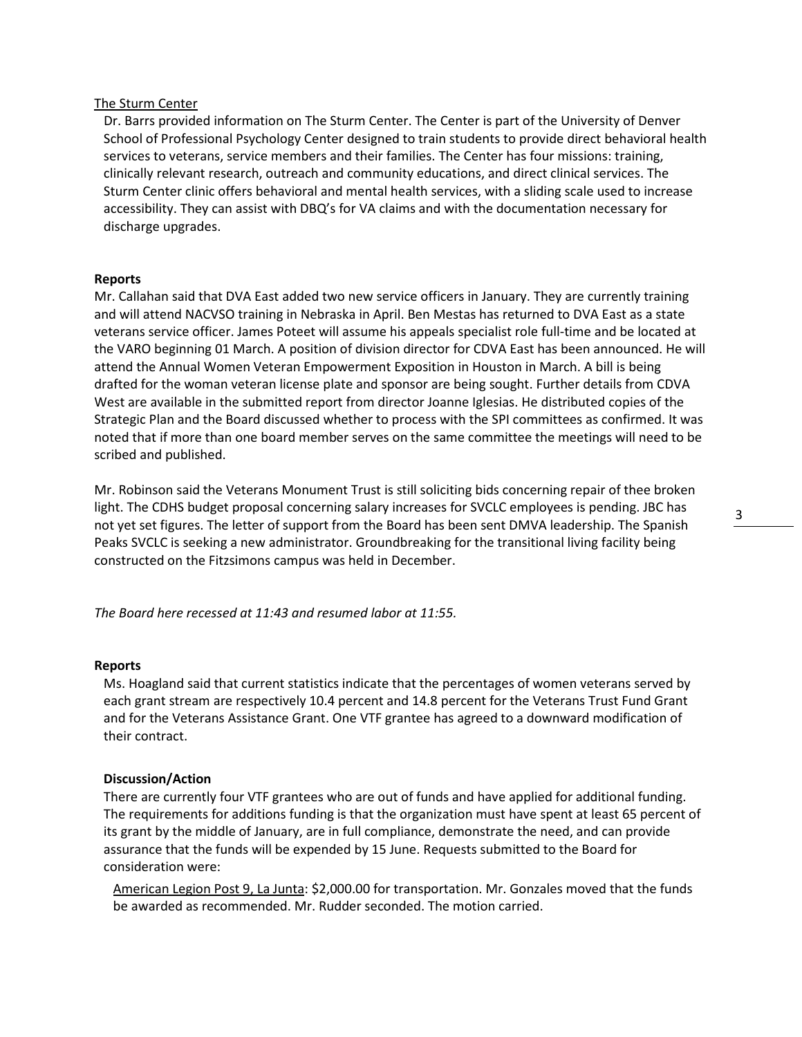## The Sturm Center

Dr. Barrs provided information on The Sturm Center. The Center is part of the University of Denver School of Professional Psychology Center designed to train students to provide direct behavioral health services to veterans, service members and their families. The Center has four missions: training, clinically relevant research, outreach and community educations, and direct clinical services. The Sturm Center clinic offers behavioral and mental health services, with a sliding scale used to increase accessibility. They can assist with DBQ's for VA claims and with the documentation necessary for discharge upgrades.

## **Reports**

Mr. Callahan said that DVA East added two new service officers in January. They are currently training and will attend NACVSO training in Nebraska in April. Ben Mestas has returned to DVA East as a state veterans service officer. James Poteet will assume his appeals specialist role full-time and be located at the VARO beginning 01 March. A position of division director for CDVA East has been announced. He will attend the Annual Women Veteran Empowerment Exposition in Houston in March. A bill is being drafted for the woman veteran license plate and sponsor are being sought. Further details from CDVA West are available in the submitted report from director Joanne Iglesias. He distributed copies of the Strategic Plan and the Board discussed whether to process with the SPI committees as confirmed. It was noted that if more than one board member serves on the same committee the meetings will need to be scribed and published.

Mr. Robinson said the Veterans Monument Trust is still soliciting bids concerning repair of thee broken light. The CDHS budget proposal concerning salary increases for SVCLC employees is pending. JBC has not yet set figures. The letter of support from the Board has been sent DMVA leadership. The Spanish Peaks SVCLC is seeking a new administrator. Groundbreaking for the transitional living facility being constructed on the Fitzsimons campus was held in December.

*The Board here recessed at 11:43 and resumed labor at 11:55.*

## **Reports**

Ms. Hoagland said that current statistics indicate that the percentages of women veterans served by each grant stream are respectively 10.4 percent and 14.8 percent for the Veterans Trust Fund Grant and for the Veterans Assistance Grant. One VTF grantee has agreed to a downward modification of their contract.

## **Discussion/Action**

There are currently four VTF grantees who are out of funds and have applied for additional funding. The requirements for additions funding is that the organization must have spent at least 65 percent of its grant by the middle of January, are in full compliance, demonstrate the need, and can provide assurance that the funds will be expended by 15 June. Requests submitted to the Board for consideration were:

American Legion Post 9, La Junta: \$2,000.00 for transportation. Mr. Gonzales moved that the funds be awarded as recommended. Mr. Rudder seconded. The motion carried.